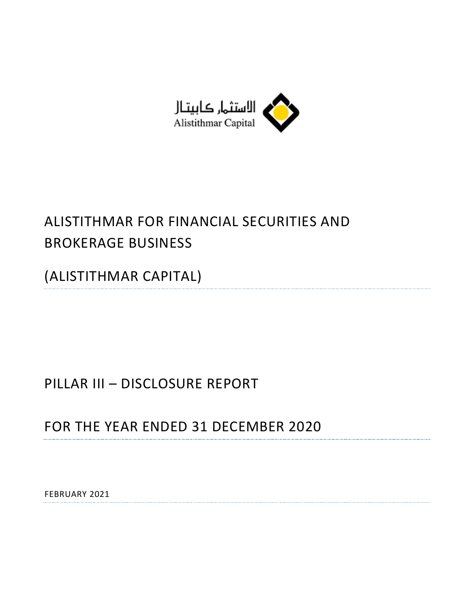

# ALISTITHMAR FOR FINANCIAL SECURITIES AND BROKERAGE BUSINESS

(ALISTITHMAR CAPITAL)

# PILLAR III – DISCLOSURE REPORT

FOR THE YEAR ENDED 31 DECEMBER 2020

FEBRUARY 2021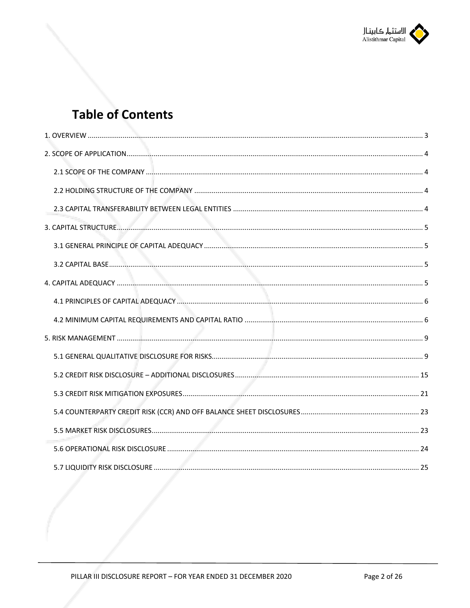

# **Table of Contents**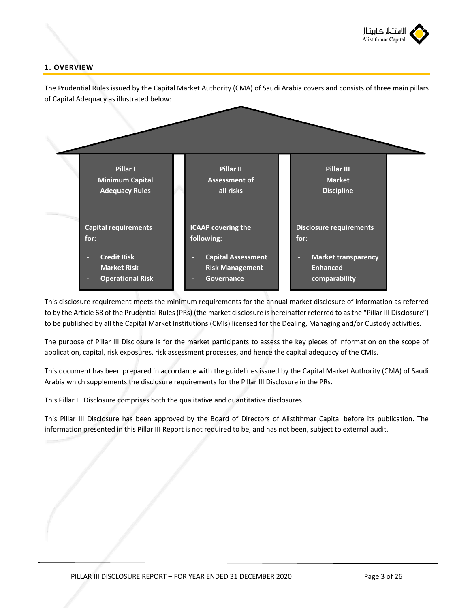

## **1. OVERVIEW**



This disclosure requirement meets the minimum requirements for the annual market disclosure of information as referred to by the Article 68 of the Prudential Rules (PRs) (the market disclosure is hereinafter referred to as the "Pillar III Disclosure") to be published by all the Capital Market Institutions (CMIs) licensed for the Dealing, Managing and/or Custody activities.

The purpose of Pillar III Disclosure is for the market participants to assess the key pieces of information on the scope of application, capital, risk exposures, risk assessment processes, and hence the capital adequacy of the CMIs.

This document has been prepared in accordance with the guidelines issued by the Capital Market Authority (CMA) of Saudi Arabia which supplements the disclosure requirements for the Pillar III Disclosure in the PRs.

This Pillar III Disclosure comprises both the qualitative and quantitative disclosures.

This Pillar III Disclosure has been approved by the Board of Directors of Alistithmar Capital before its publication. The information presented in this Pillar III Report is not required to be, and has not been, subject to external audit.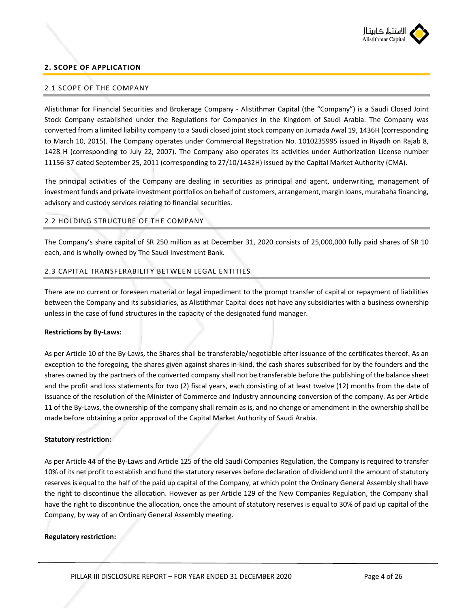

#### **2. SCOPE OF APPLICATION**

#### 2.1 SCOPE OF THE COMPANY

Alistithmar for Financial Securities and Brokerage Company - Alistithmar Capital (the "Company") is a Saudi Closed Joint Stock Company established under the Regulations for Companies in the Kingdom of Saudi Arabia. The Company was converted from a limited liability company to a Saudi closed joint stock company on Jumada Awal 19, 1436H (corresponding to March 10, 2015). The Company operates under Commercial Registration No. 1010235995 issued in Riyadh on Rajab 8, 1428 H (corresponding to July 22, 2007). The Company also operates its activities under Authorization License number 11156-37 dated September 25, 2011 (corresponding to 27/10/1432H) issued by the Capital Market Authority (CMA).

The principal activities of the Company are dealing in securities as principal and agent, underwriting, management of investment funds and private investment portfolios on behalf of customers, arrangement, margin loans, murabaha financing, advisory and custody services relating to financial securities.

#### 2.2 HOLDING STRUCTURE OF THE COMPANY

The Company's share capital of SR 250 million as at December 31, 2020 consists of 25,000,000 fully paid shares of SR 10 each, and is wholly-owned by The Saudi Investment Bank.

#### 2.3 CAPITAL TRANSFERABILITY BETWEEN LEGAL ENTITIES

There are no current or foreseen material or legal impediment to the prompt transfer of capital or repayment of liabilities between the Company and its subsidiaries, as Alistithmar Capital does not have any subsidiaries with a business ownership unless in the case of fund structures in the capacity of the designated fund manager.

#### **Restrictions by By-Laws:**

As per Article 10 of the By-Laws, the Shares shall be transferable/negotiable after issuance of the certificates thereof. As an exception to the foregoing, the shares given against shares in-kind, the cash shares subscribed for by the founders and the shares owned by the partners of the converted company shall not be transferable before the publishing of the balance sheet and the profit and loss statements for two (2) fiscal years, each consisting of at least twelve (12) months from the date of issuance of the resolution of the Minister of Commerce and Industry announcing conversion of the company. As per Article 11 of the By-Laws, the ownership of the company shall remain as is, and no change or amendment in the ownership shall be made before obtaining a prior approval of the Capital Market Authority of Saudi Arabia.

#### **Statutory restriction:**

As per Article 44 of the By-Laws and Article 125 of the old Saudi Companies Regulation, the Company is required to transfer 10% of its net profit to establish and fund the statutory reserves before declaration of dividend until the amount of statutory reserves is equal to the half of the paid up capital of the Company, at which point the Ordinary General Assembly shall have the right to discontinue the allocation. However as per Article 129 of the New Companies Regulation, the Company shall have the right to discontinue the allocation, once the amount of statutory reserves is equal to 30% of paid up capital of the Company, by way of an Ordinary General Assembly meeting.

#### **Regulatory restriction:**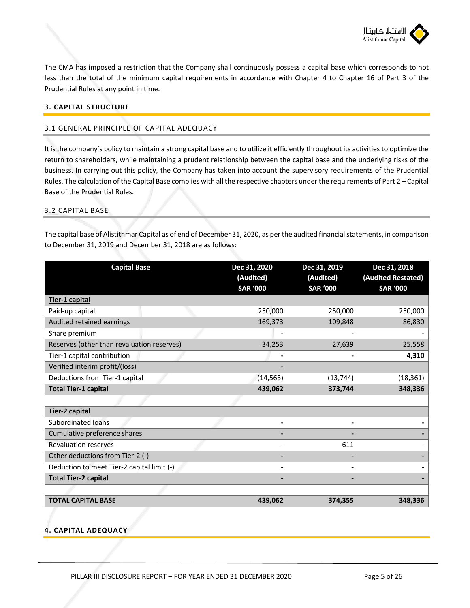

The CMA has imposed a restriction that the Company shall continuously possess a capital base which corresponds to not less than the total of the minimum capital requirements in accordance with Chapter 4 to Chapter 16 of Part 3 of the Prudential Rules at any point in time.

### **3. CAPITAL STRUCTURE**

#### 3.1 GENERAL PRINCIPLE OF CAPITAL ADEQUACY

It is the company's policy to maintain a strong capital base and to utilize it efficiently throughout its activities to optimize the return to shareholders, while maintaining a prudent relationship between the capital base and the underlying risks of the business. In carrying out this policy, the Company has taken into account the supervisory requirements of the Prudential Rules. The calculation of the Capital Base complies with all the respective chapters under the requirements of Part 2 – Capital Base of the Prudential Rules.

#### 3.2 CAPITAL BASE

The capital base of Alistithmar Capital as of end of December 31, 2020, as per the audited financial statements, in comparison to December 31, 2019 and December 31, 2018 are as follows:

| <b>Capital Base</b>                        | Dec 31, 2020<br>(Audited)<br><b>SAR '000</b> | Dec 31, 2019<br>(Audited)<br><b>SAR '000</b> | Dec 31, 2018<br>(Audited Restated)<br><b>SAR '000</b> |  |
|--------------------------------------------|----------------------------------------------|----------------------------------------------|-------------------------------------------------------|--|
| Tier-1 capital                             |                                              |                                              |                                                       |  |
| Paid-up capital                            | 250,000                                      | 250,000                                      | 250,000                                               |  |
| Audited retained earnings                  | 169,373                                      | 109,848                                      | 86,830                                                |  |
| Share premium                              |                                              |                                              |                                                       |  |
| Reserves (other than revaluation reserves) | 34,253                                       | 27,639                                       | 25,558                                                |  |
| Tier-1 capital contribution                |                                              |                                              | 4,310                                                 |  |
| Verified interim profit/(loss)             |                                              |                                              |                                                       |  |
| Deductions from Tier-1 capital             | (14, 563)                                    | (13, 744)                                    | (18, 361)                                             |  |
| <b>Total Tier-1 capital</b>                | 439,062                                      | 373,744                                      | 348,336                                               |  |
|                                            |                                              |                                              |                                                       |  |
| <b>Tier-2 capital</b>                      |                                              |                                              |                                                       |  |
| Subordinated loans                         | -                                            |                                              |                                                       |  |
| Cumulative preference shares               |                                              |                                              |                                                       |  |
| <b>Revaluation reserves</b>                |                                              | 611                                          |                                                       |  |
| Other deductions from Tier-2 (-)           |                                              |                                              |                                                       |  |
| Deduction to meet Tier-2 capital limit (-) |                                              |                                              |                                                       |  |
| <b>Total Tier-2 capital</b>                |                                              |                                              |                                                       |  |
|                                            |                                              |                                              |                                                       |  |
| <b>TOTAL CAPITAL BASE</b>                  | 439,062                                      | 374,355                                      | 348,336                                               |  |

### **4. CAPITAL ADEQUACY**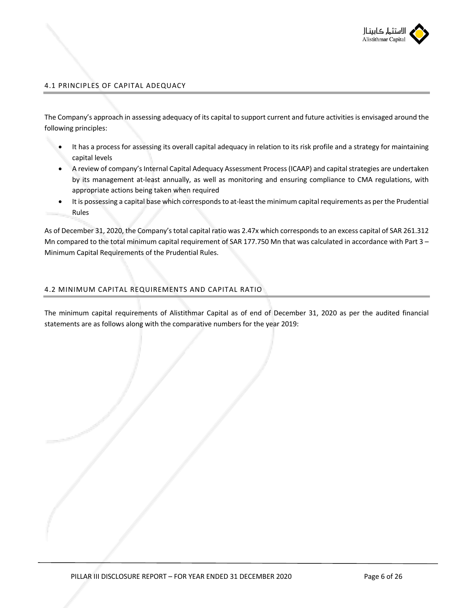

## 4.1 PRINCIPLES OF CAPITAL ADEQUACY

The Company's approach in assessing adequacy of its capital to support current and future activities is envisaged around the following principles:

- It has a process for assessing its overall capital adequacy in relation to its risk profile and a strategy for maintaining capital levels
- A review of company's Internal Capital Adequacy Assessment Process (ICAAP) and capital strategies are undertaken by its management at-least annually, as well as monitoring and ensuring compliance to CMA regulations, with appropriate actions being taken when required
- It is possessing a capital base which corresponds to at-least the minimum capital requirements as per the Prudential Rules

As of December 31, 2020, the Company's total capital ratio was 2.47x which corresponds to an excess capital of SAR 261.312 Mn compared to the total minimum capital requirement of SAR 177.750 Mn that was calculated in accordance with Part 3 – Minimum Capital Requirements of the Prudential Rules.

## 4.2 MINIMUM CAPITAL REQUIREMENTS AND CAPITAL RATIO

The minimum capital requirements of Alistithmar Capital as of end of December 31, 2020 as per the audited financial statements are as follows along with the comparative numbers for the year 2019: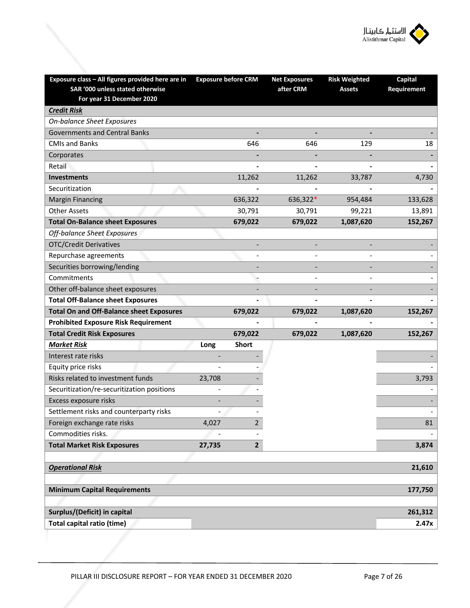

| Exposure class - All figures provided here are in<br>SAR '000 unless stated otherwise | <b>Exposure before CRM</b> |                | <b>Net Exposures</b><br>after CRM | <b>Risk Weighted</b><br><b>Assets</b> | <b>Capital</b><br>Requirement |
|---------------------------------------------------------------------------------------|----------------------------|----------------|-----------------------------------|---------------------------------------|-------------------------------|
| For year 31 December 2020                                                             |                            |                |                                   |                                       |                               |
| <b>Credit Risk</b>                                                                    |                            |                |                                   |                                       |                               |
| <b>On-balance Sheet Exposures</b>                                                     |                            |                |                                   |                                       |                               |
| <b>Governments and Central Banks</b>                                                  |                            |                |                                   |                                       |                               |
| <b>CMIs and Banks</b>                                                                 |                            | 646            | 646                               | 129                                   | 18                            |
| Corporates                                                                            |                            |                |                                   |                                       |                               |
| Retail                                                                                |                            |                |                                   |                                       |                               |
| <b>Investments</b>                                                                    |                            | 11,262         | 11,262                            | 33,787                                | 4,730                         |
| Securitization                                                                        |                            |                |                                   |                                       |                               |
| <b>Margin Financing</b>                                                               |                            | 636,322        | 636,322*                          | 954,484                               | 133,628                       |
| <b>Other Assets</b>                                                                   |                            | 30,791         | 30,791                            | 99,221                                | 13,891                        |
| <b>Total On-Balance sheet Exposures</b>                                               |                            | 679,022        | 679,022                           | 1,087,620                             | 152,267                       |
| Off-balance Sheet Exposures                                                           |                            |                |                                   |                                       |                               |
| <b>OTC/Credit Derivatives</b>                                                         |                            |                |                                   |                                       |                               |
| Repurchase agreements                                                                 |                            |                |                                   |                                       |                               |
| Securities borrowing/lending                                                          |                            |                |                                   |                                       |                               |
| Commitments                                                                           |                            |                |                                   |                                       |                               |
| Other off-balance sheet exposures                                                     |                            |                |                                   |                                       |                               |
| <b>Total Off-Balance sheet Exposures</b>                                              |                            |                |                                   |                                       |                               |
| <b>Total On and Off-Balance sheet Exposures</b>                                       |                            | 679,022        | 679,022                           | 1,087,620                             | 152,267                       |
| <b>Prohibited Exposure Risk Requirement</b>                                           |                            |                |                                   |                                       |                               |
| <b>Total Credit Risk Exposures</b>                                                    |                            | 679,022        | 679,022                           | 1,087,620                             | 152,267                       |
| <b>Market Risk</b>                                                                    | Long                       | <b>Short</b>   |                                   |                                       |                               |
| Interest rate risks                                                                   |                            |                |                                   |                                       |                               |
| Equity price risks                                                                    |                            |                |                                   |                                       |                               |
| Risks related to investment funds                                                     | 23,708                     |                |                                   |                                       | 3,793                         |
| Securitization/re-securitization positions                                            |                            |                |                                   |                                       |                               |
| Excess exposure risks                                                                 |                            |                |                                   |                                       |                               |
| Settlement risks and counterparty risks                                               |                            |                |                                   |                                       |                               |
| Foreign exchange rate risks                                                           | 4,027                      | $\overline{2}$ |                                   |                                       | 81                            |
| Commodities risks.                                                                    |                            |                |                                   |                                       |                               |
| <b>Total Market Risk Exposures</b>                                                    | 27,735                     | $2^{\circ}$    |                                   |                                       | 3,874                         |
|                                                                                       |                            |                |                                   |                                       |                               |
| <b>Operational Risk</b>                                                               |                            |                |                                   |                                       | 21,610                        |
|                                                                                       |                            |                |                                   |                                       |                               |
| <b>Minimum Capital Requirements</b>                                                   |                            |                |                                   |                                       | 177,750                       |
|                                                                                       |                            |                |                                   |                                       |                               |
| Surplus/(Deficit) in capital                                                          |                            |                |                                   |                                       | 261,312                       |
| Total capital ratio (time)                                                            |                            |                |                                   |                                       | 2.47x                         |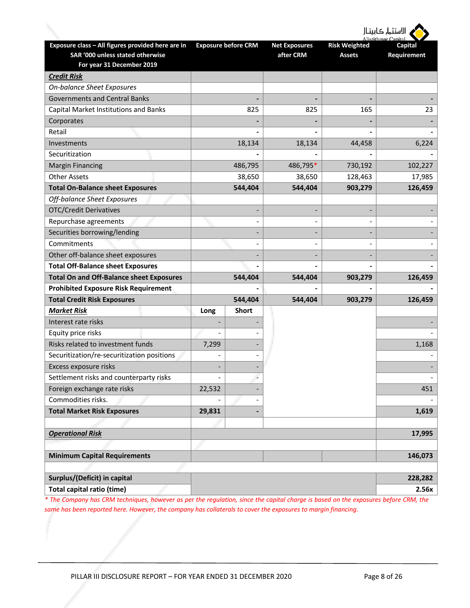| <b>/ ا</b> لاستثمار كابيتـال |  |  |  |  |  |  |
|------------------------------|--|--|--|--|--|--|
|------------------------------|--|--|--|--|--|--|

|                                                                                                                    |        |                            |                                   |                                       | Alistithmar Canital    |
|--------------------------------------------------------------------------------------------------------------------|--------|----------------------------|-----------------------------------|---------------------------------------|------------------------|
| Exposure class - All figures provided here are in<br>SAR '000 unless stated otherwise<br>For year 31 December 2019 |        | <b>Exposure before CRM</b> | <b>Net Exposures</b><br>after CRM | <b>Risk Weighted</b><br><b>Assets</b> | Capital<br>Requirement |
| <b>Credit Risk</b>                                                                                                 |        |                            |                                   |                                       |                        |
| <b>On-balance Sheet Exposures</b>                                                                                  |        |                            |                                   |                                       |                        |
| <b>Governments and Central Banks</b>                                                                               |        |                            |                                   |                                       |                        |
| Capital Market Institutions and Banks                                                                              |        | 825                        | 825                               | 165                                   | 23                     |
| Corporates                                                                                                         |        |                            |                                   |                                       |                        |
| Retail                                                                                                             |        |                            |                                   |                                       |                        |
| Investments                                                                                                        |        | 18,134                     | 18,134                            | 44,458                                | 6,224                  |
| Securitization                                                                                                     |        |                            |                                   |                                       |                        |
| <b>Margin Financing</b>                                                                                            |        | 486,795                    | 486,795*                          | 730,192                               | 102,227                |
| <b>Other Assets</b>                                                                                                |        | 38,650                     | 38,650                            | 128,463                               | 17,985                 |
| <b>Total On-Balance sheet Exposures</b>                                                                            |        | 544,404                    | 544,404                           | 903,279                               | 126,459                |
| Off-balance Sheet Exposures                                                                                        |        |                            |                                   |                                       |                        |
| <b>OTC/Credit Derivatives</b>                                                                                      |        |                            |                                   |                                       |                        |
| Repurchase agreements                                                                                              |        |                            |                                   |                                       |                        |
| Securities borrowing/lending                                                                                       |        |                            |                                   |                                       |                        |
| Commitments                                                                                                        |        |                            |                                   |                                       |                        |
| Other off-balance sheet exposures                                                                                  |        |                            |                                   |                                       |                        |
| <b>Total Off-Balance sheet Exposures</b>                                                                           |        |                            |                                   |                                       |                        |
| <b>Total On and Off-Balance sheet Exposures</b>                                                                    |        | 544,404                    | 544,404                           | 903,279                               | 126,459                |
| <b>Prohibited Exposure Risk Requirement</b>                                                                        |        |                            |                                   |                                       |                        |
| <b>Total Credit Risk Exposures</b>                                                                                 |        | 544,404                    | 544,404                           | 903,279                               | 126,459                |
| <b>Market Risk</b>                                                                                                 | Long   | <b>Short</b>               |                                   |                                       |                        |
| Interest rate risks                                                                                                |        |                            |                                   |                                       |                        |
| Equity price risks                                                                                                 |        |                            |                                   |                                       |                        |
| Risks related to investment funds                                                                                  | 7,299  |                            |                                   |                                       | 1,168                  |
| Securitization/re-securitization positions                                                                         |        |                            |                                   |                                       |                        |
| Excess exposure risks                                                                                              |        |                            |                                   |                                       |                        |
| Settlement risks and counterparty risks                                                                            |        |                            |                                   |                                       |                        |
| Foreign exchange rate risks                                                                                        | 22,532 |                            |                                   |                                       | 451                    |
| Commodities risks.                                                                                                 |        |                            |                                   |                                       |                        |
| <b>Total Market Risk Exposures</b>                                                                                 | 29,831 |                            |                                   |                                       | 1,619                  |
|                                                                                                                    |        |                            |                                   |                                       |                        |
| <b>Operational Risk</b>                                                                                            |        |                            |                                   |                                       | 17,995                 |
|                                                                                                                    |        |                            |                                   |                                       |                        |
| <b>Minimum Capital Requirements</b>                                                                                |        |                            |                                   |                                       | 146,073                |
|                                                                                                                    |        |                            |                                   |                                       |                        |
| Surplus/(Deficit) in capital                                                                                       |        |                            |                                   |                                       | 228,282                |
| <b>Total capital ratio (time)</b>                                                                                  |        |                            |                                   |                                       | 2.56x                  |

*\* The Company has CRM techniques, however as per the regulation, since the capital charge is based on the exposures before CRM, the same has been reported here. However, the company has collaterals to cover the exposures to margin financing.*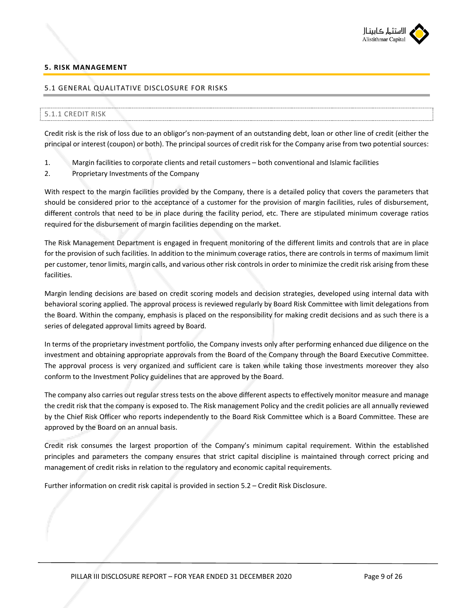

### **5. RISK MANAGEMENT**

#### 5.1 GENERAL QUALITATIVE DISCLOSURE FOR RISKS

### 5.1.1 CREDIT RISK

Credit risk is the risk of loss due to an obligor's non-payment of an outstanding debt, loan or other line of credit (either the principal or interest (coupon) or both). The principal sources of credit risk for the Company arise from two potential sources:

- 1. Margin facilities to corporate clients and retail customers both conventional and Islamic facilities
- 2. Proprietary Investments of the Company

With respect to the margin facilities provided by the Company, there is a detailed policy that covers the parameters that should be considered prior to the acceptance of a customer for the provision of margin facilities, rules of disbursement, different controls that need to be in place during the facility period, etc. There are stipulated minimum coverage ratios required for the disbursement of margin facilities depending on the market.

The Risk Management Department is engaged in frequent monitoring of the different limits and controls that are in place for the provision of such facilities. In addition to the minimum coverage ratios, there are controls in terms of maximum limit per customer, tenor limits, margin calls, and various other risk controls in order to minimize the credit risk arising from these facilities.

Margin lending decisions are based on credit scoring models and decision strategies, developed using internal data with behavioral scoring applied. The approval process is reviewed regularly by Board Risk Committee with limit delegations from the Board. Within the company, emphasis is placed on the responsibility for making credit decisions and as such there is a series of delegated approval limits agreed by Board.

In terms of the proprietary investment portfolio, the Company invests only after performing enhanced due diligence on the investment and obtaining appropriate approvals from the Board of the Company through the Board Executive Committee. The approval process is very organized and sufficient care is taken while taking those investments moreover they also conform to the Investment Policy guidelines that are approved by the Board.

The company also carries out regular stress tests on the above different aspects to effectively monitor measure and manage the credit risk that the company is exposed to. The Risk management Policy and the credit policies are all annually reviewed by the Chief Risk Officer who reports independently to the Board Risk Committee which is a Board Committee. These are approved by the Board on an annual basis.

Credit risk consumes the largest proportion of the Company's minimum capital requirement. Within the established principles and parameters the company ensures that strict capital discipline is maintained through correct pricing and management of credit risks in relation to the regulatory and economic capital requirements.

Further information on credit risk capital is provided in section 5.2 – Credit Risk Disclosure.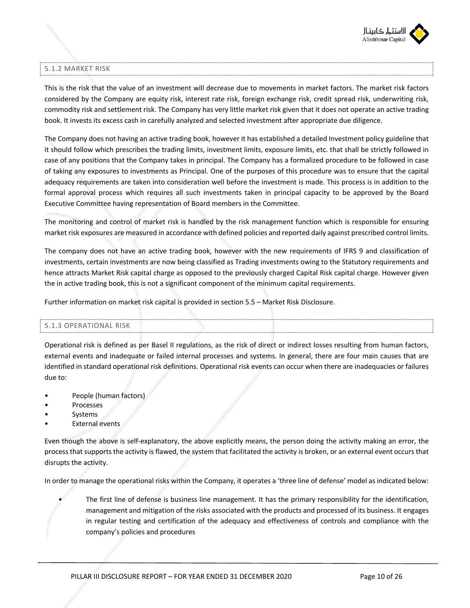

## 5.1.2 MARKET RISK

This is the risk that the value of an investment will decrease due to movements in market factors. The market risk factors considered by the Company are equity risk, interest rate risk, foreign exchange risk, credit spread risk, underwriting risk, commodity risk and settlement risk. The Company has very little market risk given that it does not operate an active trading book. It invests its excess cash in carefully analyzed and selected investment after appropriate due diligence.

The Company does not having an active trading book, however it has established a detailed Investment policy guideline that it should follow which prescribes the trading limits, investment limits, exposure limits, etc. that shall be strictly followed in case of any positions that the Company takes in principal. The Company has a formalized procedure to be followed in case of taking any exposures to investments as Principal. One of the purposes of this procedure was to ensure that the capital adequacy requirements are taken into consideration well before the investment is made. This process is in addition to the formal approval process which requires all such investments taken in principal capacity to be approved by the Board Executive Committee having representation of Board members in the Committee.

The monitoring and control of market risk is handled by the risk management function which is responsible for ensuring market risk exposures are measured in accordance with defined policies and reported daily against prescribed control limits.

The company does not have an active trading book, however with the new requirements of IFRS 9 and classification of investments, certain investments are now being classified as Trading investments owing to the Statutory requirements and hence attracts Market Risk capital charge as opposed to the previously charged Capital Risk capital charge. However given the in active trading book, this is not a significant component of the minimum capital requirements.

Further information on market risk capital is provided in section 5.5 – Market Risk Disclosure.

### 5.1.3 OPERATIONAL RISK

Operational risk is defined as per Basel II regulations, as the risk of direct or indirect losses resulting from human factors, external events and inadequate or failed internal processes and systems. In general, there are four main causes that are identified in standard operational risk definitions. Operational risk events can occur when there are inadequacies or failures due to:

- People (human factors)
- **Processes**
- **Systems**
- **External events**

Even though the above is self-explanatory, the above explicitly means, the person doing the activity making an error, the process that supports the activity is flawed, the system that facilitated the activity is broken, or an external event occurs that disrupts the activity.

In order to manage the operational risks within the Company, it operates a 'three line of defense' model as indicated below:

• The first line of defense is business line management. It has the primary responsibility for the identification, management and mitigation of the risks associated with the products and processed of its business. It engages in regular testing and certification of the adequacy and effectiveness of controls and compliance with the company's policies and procedures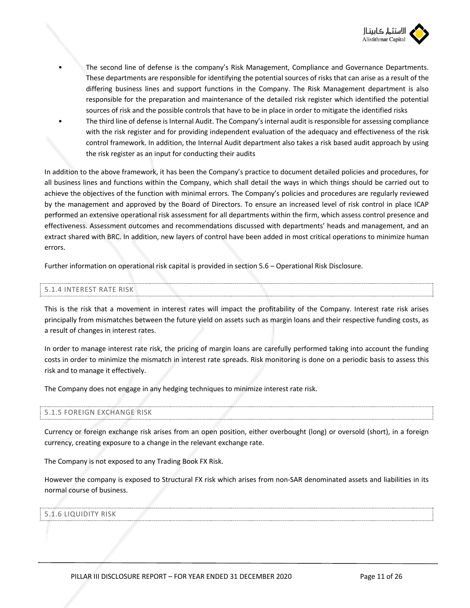

The second line of defense is the company's Risk Management, Compliance and Governance Departments. These departments are responsible for identifying the potential sources of risks that can arise as a result of the differing business lines and support functions in the Company. The Risk Management department is also responsible for the preparation and maintenance of the detailed risk register which identified the potential sources of risk and the possible controls that have to be in place in order to mitigate the identified risks • The third line of defense is Internal Audit. The Company's internal audit is responsible for assessing compliance with the risk register and for providing independent evaluation of the adequacy and effectiveness of the risk control framework. In addition, the Internal Audit department also takes a risk based audit approach by using

the risk register as an input for conducting their audits

In addition to the above framework, it has been the Company's practice to document detailed policies and procedures, for all business lines and functions within the Company, which shall detail the ways in which things should be carried out to achieve the objectives of the function with minimal errors. The Company's policies and procedures are regularly reviewed by the management and approved by the Board of Directors. To ensure an increased level of risk control in place ICAP performed an extensive operational risk assessment for all departments within the firm, which assess control presence and effectiveness. Assessment outcomes and recommendations discussed with departments' heads and management, and an extract shared with BRC. In addition, new layers of control have been added in most critical operations to minimize human errors.

Further information on operational risk capital is provided in section 5.6 – Operational Risk Disclosure.

### 5.1.4 INTEREST RATE RISK

This is the risk that a movement in interest rates will impact the profitability of the Company. Interest rate risk arises principally from mismatches between the future yield on assets such as margin loans and their respective funding costs, as a result of changes in interest rates.

In order to manage interest rate risk, the pricing of margin loans are carefully performed taking into account the funding costs in order to minimize the mismatch in interest rate spreads. Risk monitoring is done on a periodic basis to assess this risk and to manage it effectively.

The Company does not engage in any hedging techniques to minimize interest rate risk.

#### 5.1.5 FOREIGN EXCHANGE RISK

Currency or foreign exchange risk arises from an open position, either overbought (long) or oversold (short), in a foreign currency, creating exposure to a change in the relevant exchange rate.

The Company is not exposed to any Trading Book FX Risk.

However the company is exposed to Structural FX risk which arises from non-SAR denominated assets and liabilities in its normal course of business.

#### 5.1.6 LIQUIDITY RISK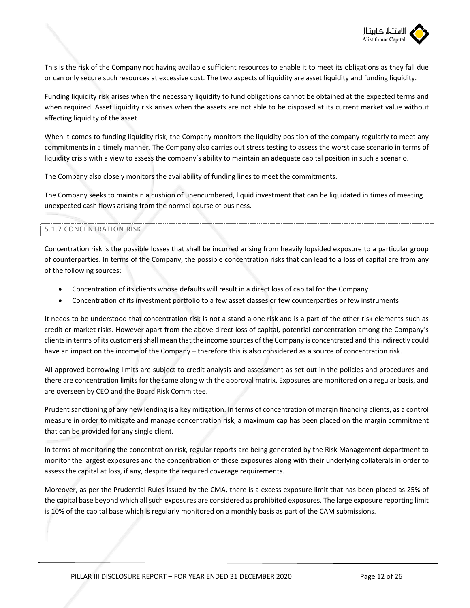

This is the risk of the Company not having available sufficient resources to enable it to meet its obligations as they fall due or can only secure such resources at excessive cost. The two aspects of liquidity are asset liquidity and funding liquidity.

Funding liquidity risk arises when the necessary liquidity to fund obligations cannot be obtained at the expected terms and when required. Asset liquidity risk arises when the assets are not able to be disposed at its current market value without affecting liquidity of the asset.

When it comes to funding liquidity risk, the Company monitors the liquidity position of the company regularly to meet any commitments in a timely manner. The Company also carries out stress testing to assess the worst case scenario in terms of liquidity crisis with a view to assess the company's ability to maintain an adequate capital position in such a scenario.

The Company also closely monitors the availability of funding lines to meet the commitments.

The Company seeks to maintain a cushion of unencumbered, liquid investment that can be liquidated in times of meeting unexpected cash flows arising from the normal course of business.

### 5.1.7 CONCENTRATION RISK

Concentration risk is the possible losses that shall be incurred arising from heavily lopsided exposure to a particular group of counterparties. In terms of the Company, the possible concentration risks that can lead to a loss of capital are from any of the following sources:

- Concentration of its clients whose defaults will result in a direct loss of capital for the Company
- Concentration of its investment portfolio to a few asset classes or few counterparties or few instruments

It needs to be understood that concentration risk is not a stand-alone risk and is a part of the other risk elements such as credit or market risks. However apart from the above direct loss of capital, potential concentration among the Company's clients in terms of its customers shall mean that the income sources of the Company is concentrated and this indirectly could have an impact on the income of the Company – therefore this is also considered as a source of concentration risk.

All approved borrowing limits are subject to credit analysis and assessment as set out in the policies and procedures and there are concentration limits for the same along with the approval matrix. Exposures are monitored on a regular basis, and are overseen by CEO and the Board Risk Committee.

Prudent sanctioning of any new lending is a key mitigation. In terms of concentration of margin financing clients, as a control measure in order to mitigate and manage concentration risk, a maximum cap has been placed on the margin commitment that can be provided for any single client.

In terms of monitoring the concentration risk, regular reports are being generated by the Risk Management department to monitor the largest exposures and the concentration of these exposures along with their underlying collaterals in order to assess the capital at loss, if any, despite the required coverage requirements.

Moreover, as per the Prudential Rules issued by the CMA, there is a excess exposure limit that has been placed as 25% of the capital base beyond which all such exposures are considered as prohibited exposures. The large exposure reporting limit is 10% of the capital base which is regularly monitored on a monthly basis as part of the CAM submissions.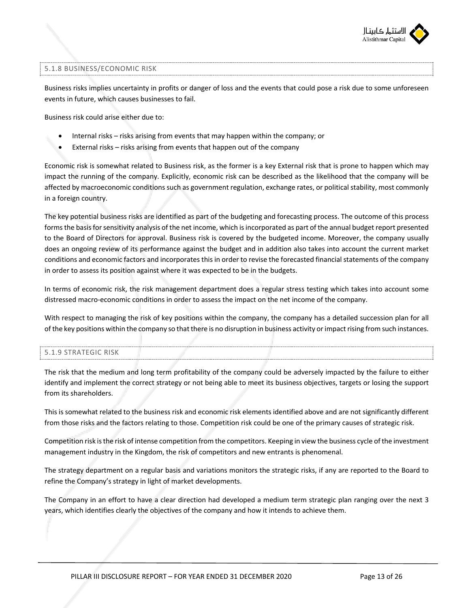

#### 5.1.8 BUSINESS/ECONOMIC RISK

Business risks implies uncertainty in profits or danger of loss and the events that could pose a risk due to some unforeseen events in future, which causes businesses to fail.

Business risk could arise either due to:

- Internal risks risks arising from events that may happen within the company; or
- External risks risks arising from events that happen out of the company

Economic risk is somewhat related to Business risk, as the former is a key External risk that is prone to happen which may impact the running of the company. Explicitly, economic risk can be described as the likelihood that the company will be affected by macroeconomic conditions such as government regulation, exchange rates, or political stability, most commonly in a foreign country.

The key potential business risks are identified as part of the budgeting and forecasting process. The outcome of this process forms the basis for sensitivity analysis of the net income, which is incorporated as part of the annual budget report presented to the Board of Directors for approval. Business risk is covered by the budgeted income. Moreover, the company usually does an ongoing review of its performance against the budget and in addition also takes into account the current market conditions and economic factors and incorporates this in order to revise the forecasted financial statements of the company in order to assess its position against where it was expected to be in the budgets.

In terms of economic risk, the risk management department does a regular stress testing which takes into account some distressed macro-economic conditions in order to assess the impact on the net income of the company.

With respect to managing the risk of key positions within the company, the company has a detailed succession plan for all of the key positions within the company so that there is no disruption in business activity or impact rising from such instances.

#### 5.1.9 STRATEGIC RISK

The risk that the medium and long term profitability of the company could be adversely impacted by the failure to either identify and implement the correct strategy or not being able to meet its business objectives, targets or losing the support from its shareholders.

This is somewhat related to the business risk and economic risk elements identified above and are not significantly different from those risks and the factors relating to those. Competition risk could be one of the primary causes of strategic risk.

Competition risk is the risk of intense competition from the competitors. Keeping in view the business cycle of the investment management industry in the Kingdom, the risk of competitors and new entrants is phenomenal.

The strategy department on a regular basis and variations monitors the strategic risks, if any are reported to the Board to refine the Company's strategy in light of market developments.

The Company in an effort to have a clear direction had developed a medium term strategic plan ranging over the next 3 years, which identifies clearly the objectives of the company and how it intends to achieve them.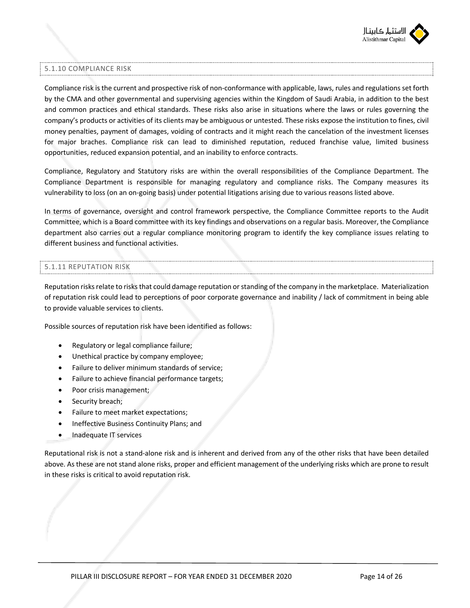

### 5.1.10 COMPLIANCE RISK

Compliance risk is the current and prospective risk of non-conformance with applicable, laws, rules and regulations set forth by the CMA and other governmental and supervising agencies within the Kingdom of Saudi Arabia, in addition to the best and common practices and ethical standards. These risks also arise in situations where the laws or rules governing the company's products or activities of its clients may be ambiguous or untested. These risks expose the institution to fines, civil money penalties, payment of damages, voiding of contracts and it might reach the cancelation of the investment licenses for major braches. Compliance risk can lead to diminished reputation, reduced franchise value, limited business opportunities, reduced expansion potential, and an inability to enforce contracts.

Compliance, Regulatory and Statutory risks are within the overall responsibilities of the Compliance Department. The Compliance Department is responsible for managing regulatory and compliance risks. The Company measures its vulnerability to loss (on an on-going basis) under potential litigations arising due to various reasons listed above.

In terms of governance, oversight and control framework perspective, the Compliance Committee reports to the Audit Committee, which is a Board committee with its key findings and observations on a regular basis. Moreover, the Compliance department also carries out a regular compliance monitoring program to identify the key compliance issues relating to different business and functional activities.

### 5.1.11 REPUTATION RISK

Reputation risks relate to risks that could damage reputation or standing of the company in the marketplace. Materialization of reputation risk could lead to perceptions of poor corporate governance and inability / lack of commitment in being able to provide valuable services to clients.

Possible sources of reputation risk have been identified as follows:

- Regulatory or legal compliance failure;
- Unethical practice by company employee;
- Failure to deliver minimum standards of service;
- Failure to achieve financial performance targets;
- Poor crisis management;
- Security breach;
- Failure to meet market expectations;
- Ineffective Business Continuity Plans; and
- Inadequate IT services

Reputational risk is not a stand-alone risk and is inherent and derived from any of the other risks that have been detailed above. As these are not stand alone risks, proper and efficient management of the underlying risks which are prone to result in these risks is critical to avoid reputation risk.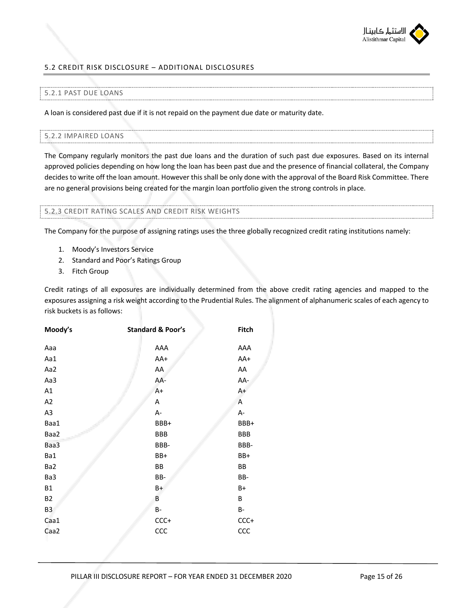

## 5.2 CREDIT RISK DISCLOSURE – ADDITIONAL DISCLOSURES

## 5.2.1 PAST DUE LOANS

A loan is considered past due if it is not repaid on the payment due date or maturity date.

#### 5.2.2 IMPAIRED LOANS

The Company regularly monitors the past due loans and the duration of such past due exposures. Based on its internal approved policies depending on how long the loan has been past due and the presence of financial collateral, the Company decides to write off the loan amount. However this shall be only done with the approval of the Board Risk Committee. There are no general provisions being created for the margin loan portfolio given the strong controls in place.

#### 5.2.3 CREDIT RATING SCALES AND CREDIT RISK WEIGHTS

The Company for the purpose of assigning ratings uses the three globally recognized credit rating institutions namely:

- 1. Moody's Investors Service
- 2. Standard and Poor's Ratings Group
- 3. Fitch Group

Credit ratings of all exposures are individually determined from the above credit rating agencies and mapped to the exposures assigning a risk weight according to the Prudential Rules. The alignment of alphanumeric scales of each agency to risk buckets is as follows:

| Moody's   | <b>Standard &amp; Poor's</b> | <b>Fitch</b> |
|-----------|------------------------------|--------------|
| Aaa       | AAA                          | AAA          |
| Aa1       | AA+                          | AA+          |
| Aa2       | AA                           | AA           |
| Aa3       | AA-                          | AA-          |
| A1        | $A+$                         | A+           |
| A2        | A                            | A            |
| A3        | A-                           | A-           |
| Baa1      | BBB+                         | BBB+         |
| Baa2      | <b>BBB</b>                   | BBB          |
| Baa3      | BBB-                         | BBB-         |
| Ba1       | BB+                          | BB+          |
| Ba2       | ВB                           | ВB           |
| Ba3       | BB-                          | BB-          |
| <b>B1</b> | B+                           | B+           |
| <b>B2</b> | B                            | В            |
| B3        | B-                           | B-           |
| Caa1      | $CCC +$                      | CCC+         |
| Caa2      | CCC                          | CCC          |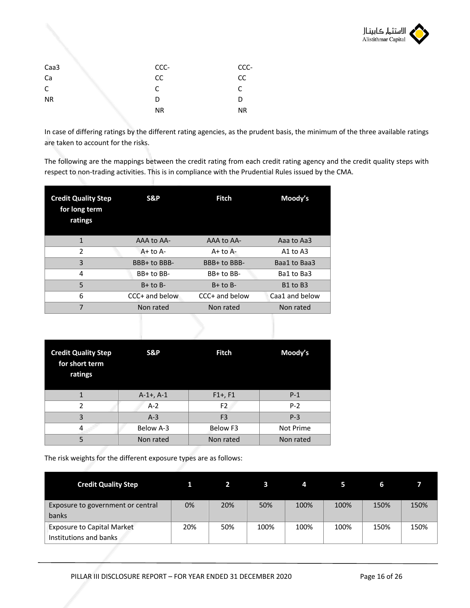

| Caa3      | CCC- | CCC-      |
|-----------|------|-----------|
| Ca        | cc   | cc        |
| C         | C    | C         |
| <b>NR</b> | D    | D         |
|           | NR.  | <b>NR</b> |

In case of differing ratings by the different rating agencies, as the prudent basis, the minimum of the three available ratings are taken to account for the risks.

The following are the mappings between the credit rating from each credit rating agency and the credit quality steps with respect to non-trading activities. This is in compliance with the Prudential Rules issued by the CMA.

| <b>Credit Quality Step</b><br>for long term<br>ratings | S&P            | <b>Fitch</b>   | Moody's                          |
|--------------------------------------------------------|----------------|----------------|----------------------------------|
| 1                                                      | AAA to AA-     | AAA to AA-     | Aaa to Aa3                       |
| $\mathcal{P}$                                          | $A + to A -$   | $A+$ to $A-$   | A1 to $A3$                       |
| 3                                                      | BBB+ to BBB-   | BBB+ to BBB-   | Baa1 to Baa3                     |
| 4                                                      | BB+ to BB-     | BB+ to BB-     | Ba1 to Ba3                       |
| 5                                                      | $B+$ to $B-$   | $B+$ to $B-$   | B <sub>1</sub> to B <sub>3</sub> |
| 6                                                      | CCC+ and below | CCC+ and below | Caa1 and below                   |
| 7                                                      | Non rated      | Non rated      | Non rated                        |

| <b>Credit Quality Step</b><br>for short term<br>ratings | S&P            | <b>Fitch</b>    | Moody's   |  |  |
|---------------------------------------------------------|----------------|-----------------|-----------|--|--|
|                                                         | $A-1+$ , $A-1$ | $F1+, F1$       | $P-1$     |  |  |
| 2                                                       | $A-2$          | F <sub>2</sub>  | $P-2$     |  |  |
| $\overline{3}$                                          | $A-3$          | F <sub>3</sub>  | $P-3$     |  |  |
|                                                         | Below A-3      | <b>Below F3</b> | Not Prime |  |  |
| 5                                                       | Non rated      | Non rated       | Non rated |  |  |

The risk weights for the different exposure types are as follows:

| <b>Credit Quality Step</b>        |     |     |      | 4    |      | 6    |      |
|-----------------------------------|-----|-----|------|------|------|------|------|
| Exposure to government or central | 0%  | 20% | 50%  | 100% | 100% | 150% | 150% |
| banks                             |     |     |      |      |      |      |      |
| <b>Exposure to Capital Market</b> | 20% | 50% | 100% | 100% | 100% | 150% | 150% |
| Institutions and banks            |     |     |      |      |      |      |      |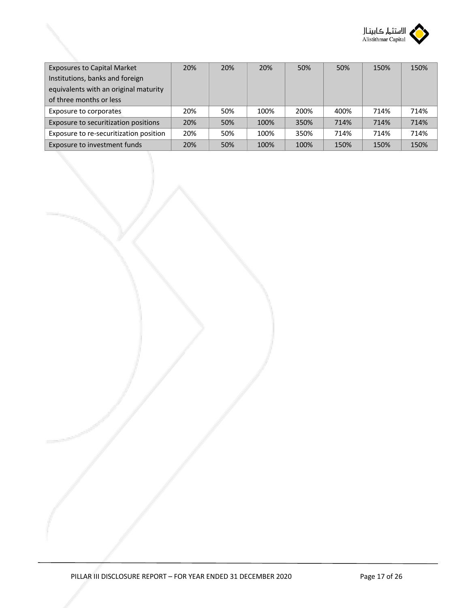

| <b>Exposures to Capital Market</b>     | 20% | 20% | 20%  | 50%  | 50%  | 150% | 150% |
|----------------------------------------|-----|-----|------|------|------|------|------|
| Institutions, banks and foreign        |     |     |      |      |      |      |      |
| equivalents with an original maturity  |     |     |      |      |      |      |      |
| of three months or less                |     |     |      |      |      |      |      |
| Exposure to corporates                 | 20% | 50% | 100% | 200% | 400% | 714% | 714% |
| Exposure to securitization positions   | 20% | 50% | 100% | 350% | 714% | 714% | 714% |
| Exposure to re-securitization position | 20% | 50% | 100% | 350% | 714% | 714% | 714% |
| Exposure to investment funds           | 20% | 50% | 100% | 100% | 150% | 150% | 150% |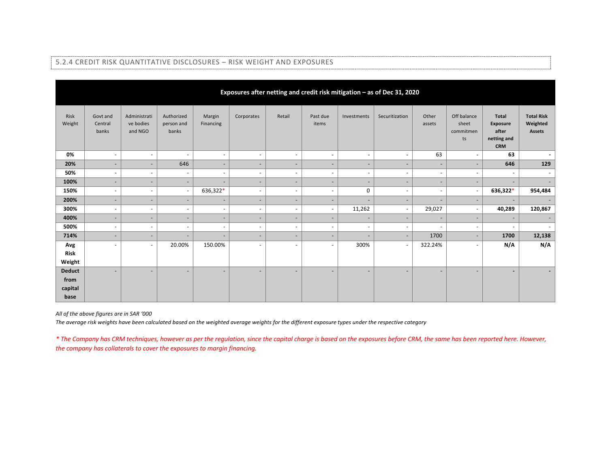|                |                              |                                      |                                   |                          |                          |                              |                          |                          | Exposures after netting and credit risk mitigation - as of Dec 31, 2020 |                          |                                         |                                                                |                                                |
|----------------|------------------------------|--------------------------------------|-----------------------------------|--------------------------|--------------------------|------------------------------|--------------------------|--------------------------|-------------------------------------------------------------------------|--------------------------|-----------------------------------------|----------------------------------------------------------------|------------------------------------------------|
| Risk<br>Weight | Govt and<br>Central<br>banks | Administrati<br>ve bodies<br>and NGO | Authorized<br>person and<br>banks | Margin<br>Financing      | Corporates               | Retail                       | Past due<br>items        | Investments              | Securitization                                                          | Other<br>assets          | Off balance<br>sheet<br>commitmen<br>ts | <b>Total</b><br>Exposure<br>after<br>netting and<br><b>CRM</b> | <b>Total Risk</b><br>Weighted<br><b>Assets</b> |
| 0%             | $\overline{\phantom{a}}$     | $\sim$                               | $\overline{\phantom{a}}$          | $\overline{\phantom{a}}$ | $\overline{\phantom{a}}$ | $\overline{\phantom{a}}$     | $\overline{\phantom{a}}$ | $\overline{\phantom{a}}$ | $\overline{\phantom{a}}$                                                | 63                       | $\sim$                                  | 63                                                             | $\overline{\phantom{a}}$                       |
| 20%            | ٠                            | $\overline{\phantom{a}}$             | 646                               | $\overline{\phantom{a}}$ | $\overline{\phantom{a}}$ | $\overline{\phantom{a}}$     | $\overline{\phantom{a}}$ | $\overline{\phantom{a}}$ | $\overline{\phantom{a}}$                                                | $\overline{\phantom{a}}$ | $\overline{\phantom{a}}$                | 646                                                            | 129                                            |
| 50%            | $\sim$                       | $\sim$                               | $\blacksquare$                    | $\blacksquare$           | $\overline{\phantom{a}}$ | $\overline{\phantom{a}}$     | $\overline{\phantom{a}}$ | $\overline{\phantom{a}}$ | $\overline{\phantom{a}}$                                                | $\sim$                   | $\sim$                                  | $\sim$                                                         |                                                |
| 100%           | $\qquad \qquad \blacksquare$ | $\overline{\phantom{a}}$             | $\overline{\phantom{a}}$          | ٠                        |                          | $\overline{\phantom{a}}$     |                          | $\overline{\phantom{a}}$ |                                                                         | $\overline{\phantom{0}}$ | $\overline{\phantom{a}}$                |                                                                |                                                |
| 150%           | ٠                            | $\overline{\phantom{a}}$             | $\overline{\phantom{a}}$          | 636,322*                 | $\overline{a}$           | $\overline{\phantom{a}}$     | $\overline{\phantom{a}}$ | 0                        |                                                                         | $\overline{\phantom{a}}$ | $\sim$                                  | 636,322*                                                       | 954,484                                        |
| 200%           | $\qquad \qquad \blacksquare$ | $\overline{\phantom{a}}$             | $\overline{\phantom{a}}$          | $\overline{\phantom{a}}$ | $\overline{\phantom{a}}$ | $\overline{\phantom{a}}$     |                          |                          | $\qquad \qquad \blacksquare$                                            | $\overline{\phantom{a}}$ | $\overline{\phantom{0}}$                |                                                                |                                                |
| 300%           | ٠                            | $\sim$                               | $\overline{\phantom{a}}$          | $\overline{\phantom{a}}$ | $\overline{\phantom{a}}$ | $\overline{\phantom{a}}$     | $\overline{\phantom{a}}$ | 11,262                   | $\overline{\phantom{a}}$                                                | 29,027                   | $\sim$                                  | 40,289                                                         | 120,867                                        |
| 400%           | $\qquad \qquad \blacksquare$ | $\overline{\phantom{a}}$             | $\overline{\phantom{a}}$          | $\overline{\phantom{a}}$ | $\overline{\phantom{a}}$ | $\qquad \qquad \blacksquare$ | $\overline{\phantom{0}}$ | $\overline{\phantom{a}}$ | $\qquad \qquad \blacksquare$                                            | $\overline{\phantom{a}}$ | $\overline{\phantom{a}}$                | $\overline{\phantom{a}}$                                       |                                                |
| 500%           | $\overline{\phantom{a}}$     | $\sim$                               | $\overline{\phantom{a}}$          | $\overline{\phantom{a}}$ | $\overline{\phantom{a}}$ | $\overline{\phantom{a}}$     | $\overline{\phantom{a}}$ | $\overline{\phantom{a}}$ | $\overline{\phantom{a}}$                                                | $\overline{\phantom{a}}$ | $\overline{\phantom{a}}$                | $\overline{\phantom{a}}$                                       |                                                |
| 714%           | ٠                            | $\overline{\phantom{a}}$             | $\overline{\phantom{a}}$          | $\overline{\phantom{a}}$ | $\overline{\phantom{a}}$ | $\overline{\phantom{a}}$     | $\overline{\phantom{a}}$ | $\overline{\phantom{a}}$ | $\overline{\phantom{a}}$                                                | 1700                     | $\overline{\phantom{a}}$                | 1700                                                           | 12,138                                         |
| Avg            | ٠                            | $\sim$                               | 20.00%                            | 150.00%                  | $\overline{\phantom{a}}$ | $\overline{\phantom{a}}$     | $\overline{\phantom{a}}$ | 300%                     | $\overline{\phantom{a}}$                                                | 322.24%                  | $\overline{\phantom{a}}$                | N/A                                                            | N/A                                            |
| Risk           |                              |                                      |                                   |                          |                          |                              |                          |                          |                                                                         |                          |                                         |                                                                |                                                |
| Weight         |                              |                                      |                                   |                          |                          |                              |                          |                          |                                                                         |                          |                                         |                                                                |                                                |
| <b>Deduct</b>  | $\qquad \qquad \blacksquare$ | $\overline{\phantom{a}}$             | $\qquad \qquad \blacksquare$      | ٠                        |                          | $\overline{\phantom{a}}$     |                          | $\overline{\phantom{a}}$ |                                                                         |                          | $\qquad \qquad \blacksquare$            |                                                                |                                                |
| from           |                              |                                      |                                   |                          |                          |                              |                          |                          |                                                                         |                          |                                         |                                                                |                                                |
| capital        |                              |                                      |                                   |                          |                          |                              |                          |                          |                                                                         |                          |                                         |                                                                |                                                |
| base           |                              |                                      |                                   |                          |                          |                              |                          |                          |                                                                         |                          |                                         |                                                                |                                                |

#### 5.2.4 CREDIT RISK QUANTITATIVE DISCLOSURES – RISK WEIGHT AND EXPOSURES

*All of the above figures are in SAR '000*

*The average risk weights have been calculated based on the weighted average weights for the different exposure types under the respective category*

*\* The Company has CRM techniques, however as per the regulation, since the capital charge is based on the exposures before CRM, the same has been reported here. However, the company has collaterals to cover the exposures to margin financing.*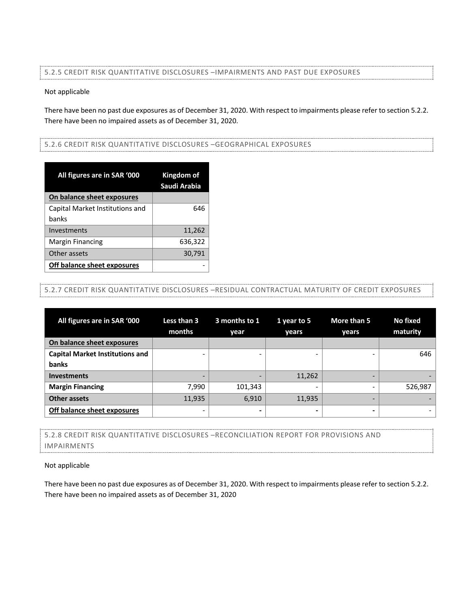## 5.2.5 CREDIT RISK QUANTITATIVE DISCLOSURES –IMPAIRMENTS AND PAST DUE EXPOSURES

#### Not applicable

There have been no past due exposures as of December 31, 2020. With respect to impairments please refer to section 5.2.2. There have been no impaired assets as of December 31, 2020.

#### 5.2.6 CREDIT RISK QUANTITATIVE DISCLOSURES –GEOGRAPHICAL EXPOSURES

| All figures are in SAR '000     | Kingdom of<br>Saudi Arabia |
|---------------------------------|----------------------------|
| On balance sheet exposures      |                            |
| Capital Market Institutions and | 646                        |
| banks                           |                            |
| Investments                     | 11,262                     |
| <b>Margin Financing</b>         | 636,322                    |
| Other assets                    | 30,791                     |
| Off balance sheet exposures     |                            |

## 5.2.7 CREDIT RISK QUANTITATIVE DISCLOSURES –RESIDUAL CONTRACTUAL MATURITY OF CREDIT EXPOSURES

| All figures are in SAR '000            | Less than 3<br>months | 3 months to 1<br>year | 1 year to 5<br>years     | More than 5<br>years | No fixed<br>maturity |
|----------------------------------------|-----------------------|-----------------------|--------------------------|----------------------|----------------------|
| On balance sheet exposures             |                       |                       |                          |                      |                      |
| <b>Capital Market Institutions and</b> |                       |                       | -                        |                      | 646                  |
| banks                                  |                       |                       |                          |                      |                      |
| <b>Investments</b>                     |                       |                       | 11,262                   |                      |                      |
| <b>Margin Financing</b>                | 7,990                 | 101,343               | $\overline{\phantom{0}}$ |                      | 526,987              |
| <b>Other assets</b>                    | 11,935                | 6,910                 | 11,935                   | -                    |                      |
| Off balance sheet exposures            |                       |                       | ٠                        | -                    |                      |

# 5.2.8 CREDIT RISK QUANTITATIVE DISCLOSURES –RECONCILIATION REPORT FOR PROVISIONS AND IMPAIRMENTS

#### Not applicable

There have been no past due exposures as of December 31, 2020. With respect to impairments please refer to section 5.2.2. There have been no impaired assets as of December 31, 2020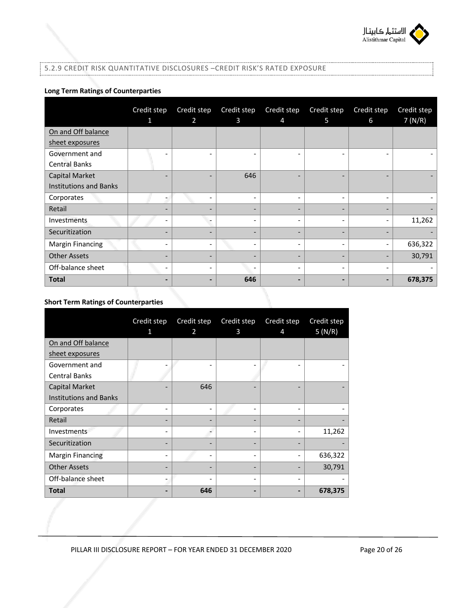

## 5.2.9 CREDIT RISK QUANTITATIVE DISCLOSURES –CREDIT RISK'S RATED EXPOSURE

## **Long Term Ratings of Counterparties**

|                               | Credit step              | Credit step              | Credit step              | Credit step              | Credit step | Credit step                  | Credit step |
|-------------------------------|--------------------------|--------------------------|--------------------------|--------------------------|-------------|------------------------------|-------------|
|                               | 1                        | $\overline{2}$           | 3                        | $\overline{4}$           | 5           | 6                            | 7(N/R)      |
| On and Off balance            |                          |                          |                          |                          |             |                              |             |
| sheet exposures               |                          |                          |                          |                          |             |                              |             |
| Government and                |                          |                          |                          |                          |             |                              |             |
| <b>Central Banks</b>          |                          |                          |                          |                          |             |                              |             |
| <b>Capital Market</b>         | $\overline{\phantom{0}}$ |                          | 646                      | -                        |             |                              |             |
| <b>Institutions and Banks</b> |                          |                          |                          |                          |             |                              |             |
| Corporates                    |                          | ۰                        | $\overline{\phantom{a}}$ | $\overline{\phantom{a}}$ |             |                              |             |
| Retail                        | ۰                        |                          | $\overline{\phantom{a}}$ | $\overline{\phantom{a}}$ |             |                              |             |
| Investments                   | -                        |                          | -                        | -                        | -           | $\qquad \qquad \blacksquare$ | 11,262      |
| Securitization                |                          |                          | $\overline{\phantom{0}}$ | -                        |             |                              |             |
| <b>Margin Financing</b>       | -                        | $\overline{\phantom{0}}$ | $\overline{\phantom{a}}$ | -                        |             | ۰                            | 636,322     |
| <b>Other Assets</b>           | -                        | -                        | $\overline{\phantom{a}}$ | $\overline{\phantom{a}}$ | -           | -                            | 30,791      |
| Off-balance sheet             | -                        |                          | $\overline{\phantom{a}}$ | $\overline{\phantom{a}}$ |             |                              |             |
| <b>Total</b>                  | -                        |                          | 646                      |                          |             | -                            | 678,375     |

## **Short Term Ratings of Counterparties**

|                               | Credit step | Credit step    | Credit step | Credit step | Credit step |
|-------------------------------|-------------|----------------|-------------|-------------|-------------|
|                               | 1           | $\overline{2}$ | 3           | 4           | 5(N/R)      |
| On and Off balance            |             |                |             |             |             |
| sheet exposures               |             |                |             |             |             |
| Government and                |             |                |             |             |             |
| <b>Central Banks</b>          |             |                |             |             |             |
| Capital Market                |             | 646            |             |             |             |
| <b>Institutions and Banks</b> |             |                |             |             |             |
| Corporates                    |             |                |             |             |             |
| Retail                        |             |                |             |             |             |
| Investments                   |             |                |             |             | 11,262      |
| Securitization                |             |                |             |             |             |
| <b>Margin Financing</b>       | ۰           |                |             |             | 636,322     |
| <b>Other Assets</b>           |             |                |             |             | 30,791      |
| Off-balance sheet             | -           |                |             |             |             |
| <b>Total</b>                  |             | 646            |             |             | 678,375     |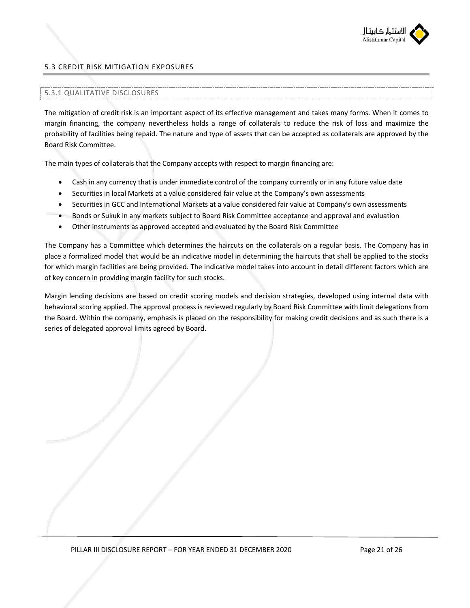

## 5.3 CREDIT RISK MITIGATION EXPOSURES

#### 5.3.1 QUALITATIVE DISCLOSURES

The mitigation of credit risk is an important aspect of its effective management and takes many forms. When it comes to margin financing, the company nevertheless holds a range of collaterals to reduce the risk of loss and maximize the probability of facilities being repaid. The nature and type of assets that can be accepted as collaterals are approved by the Board Risk Committee.

The main types of collaterals that the Company accepts with respect to margin financing are:

- Cash in any currency that is under immediate control of the company currently or in any future value date
- Securities in local Markets at a value considered fair value at the Company's own assessments
- Securities in GCC and International Markets at a value considered fair value at Company's own assessments
- Bonds or Sukuk in any markets subject to Board Risk Committee acceptance and approval and evaluation
- Other instruments as approved accepted and evaluated by the Board Risk Committee

The Company has a Committee which determines the haircuts on the collaterals on a regular basis. The Company has in place a formalized model that would be an indicative model in determining the haircuts that shall be applied to the stocks for which margin facilities are being provided. The indicative model takes into account in detail different factors which are of key concern in providing margin facility for such stocks.

Margin lending decisions are based on credit scoring models and decision strategies, developed using internal data with behavioral scoring applied. The approval process is reviewed regularly by Board Risk Committee with limit delegations from the Board. Within the company, emphasis is placed on the responsibility for making credit decisions and as such there is a series of delegated approval limits agreed by Board.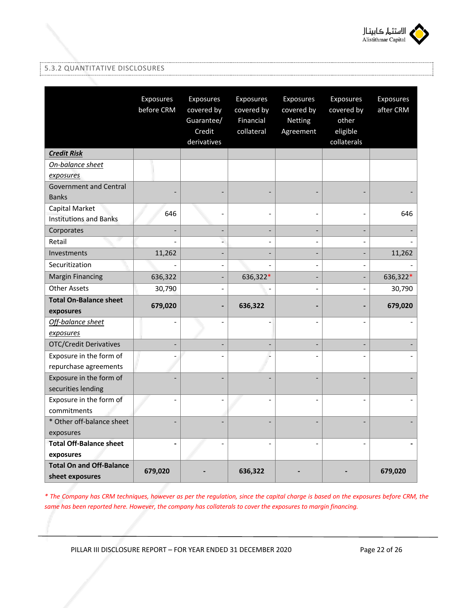

## 5.3.2 QUANTITATIVE DISCLOSURES

|                                                    | Exposures<br>before CRM | Exposures<br>covered by<br>Guarantee/<br>Credit<br>derivatives | Exposures<br>covered by<br>Financial<br>collateral | Exposures<br>covered by<br>Netting<br>Agreement | Exposures<br>covered by<br>other<br>eligible<br>collaterals | Exposures<br>after CRM |
|----------------------------------------------------|-------------------------|----------------------------------------------------------------|----------------------------------------------------|-------------------------------------------------|-------------------------------------------------------------|------------------------|
| <b>Credit Risk</b>                                 |                         |                                                                |                                                    |                                                 |                                                             |                        |
| On-balance sheet                                   |                         |                                                                |                                                    |                                                 |                                                             |                        |
| exposures                                          |                         |                                                                |                                                    |                                                 |                                                             |                        |
| <b>Government and Central</b>                      |                         |                                                                |                                                    |                                                 |                                                             |                        |
| <b>Banks</b>                                       |                         |                                                                |                                                    |                                                 |                                                             |                        |
| Capital Market                                     | 646                     |                                                                |                                                    |                                                 |                                                             | 646                    |
| <b>Institutions and Banks</b>                      |                         |                                                                |                                                    |                                                 |                                                             |                        |
| Corporates                                         |                         |                                                                |                                                    |                                                 |                                                             |                        |
| Retail                                             |                         | L.                                                             |                                                    | $\overline{a}$                                  |                                                             |                        |
| Investments                                        | 11,262                  |                                                                |                                                    | $\overline{a}$                                  | ÷,                                                          | 11,262                 |
| Securitization                                     |                         |                                                                |                                                    |                                                 |                                                             |                        |
| <b>Margin Financing</b>                            | 636,322                 |                                                                | 636,322*                                           |                                                 |                                                             | 636,322*               |
| <b>Other Assets</b>                                | 30,790                  |                                                                |                                                    | $\overline{a}$                                  | $\overline{a}$                                              | 30,790                 |
| <b>Total On-Balance sheet</b><br>exposures         | 679,020                 |                                                                | 636,322                                            |                                                 |                                                             | 679,020                |
| Off-balance sheet                                  | L,                      |                                                                |                                                    | L,                                              |                                                             |                        |
| exposures                                          |                         |                                                                |                                                    |                                                 |                                                             |                        |
| <b>OTC/Credit Derivatives</b>                      | ۰                       |                                                                |                                                    | $\overline{a}$                                  |                                                             |                        |
| Exposure in the form of                            |                         |                                                                |                                                    |                                                 |                                                             |                        |
| repurchase agreements                              |                         |                                                                |                                                    |                                                 |                                                             |                        |
| Exposure in the form of                            |                         |                                                                |                                                    |                                                 |                                                             |                        |
| securities lending                                 |                         |                                                                |                                                    |                                                 |                                                             |                        |
| Exposure in the form of                            | L.                      |                                                                |                                                    |                                                 |                                                             |                        |
| commitments                                        |                         |                                                                |                                                    |                                                 |                                                             |                        |
| * Other off-balance sheet                          |                         |                                                                |                                                    |                                                 |                                                             |                        |
| exposures                                          |                         |                                                                |                                                    |                                                 |                                                             |                        |
| <b>Total Off-Balance sheet</b>                     | $\overline{a}$          |                                                                |                                                    | $\overline{a}$                                  |                                                             |                        |
| exposures                                          |                         |                                                                |                                                    |                                                 |                                                             |                        |
| <b>Total On and Off-Balance</b><br>sheet exposures | 679,020                 |                                                                | 636,322                                            |                                                 |                                                             | 679,020                |

*\* The Company has CRM techniques, however as per the regulation, since the capital charge is based on the exposures before CRM, the same has been reported here. However, the company has collaterals to cover the exposures to margin financing.* 

PILLAR III DISCLOSURE REPORT - FOR YEAR ENDED 31 DECEMBER 2020 Page 22 of 26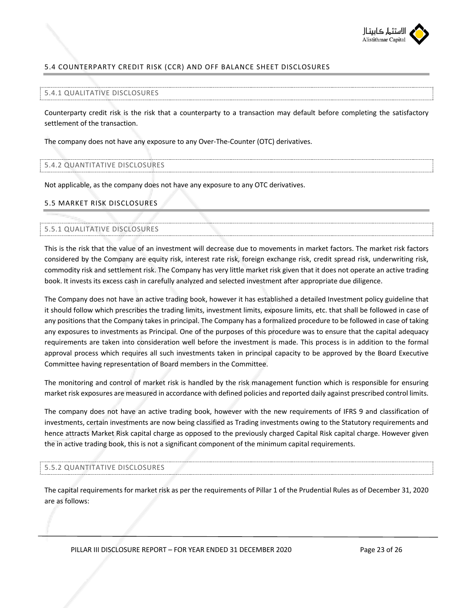

## 5.4 COUNTERPARTY CREDIT RISK (CCR) AND OFF BALANCE SHEET DISCLOSURES

#### 5.4.1 QUALITATIVE DISCLOSURES

Counterparty credit risk is the risk that a counterparty to a transaction may default before completing the satisfactory settlement of the transaction.

The company does not have any exposure to any Over-The-Counter (OTC) derivatives.

#### 5.4.2 QUANTITATIVE DISCLOSURES

Not applicable, as the company does not have any exposure to any OTC derivatives.

#### 5.5 MARKET RISK DISCLOSURES

### 5.5.1 QUALITATIVE DISCLOSURES

This is the risk that the value of an investment will decrease due to movements in market factors. The market risk factors considered by the Company are equity risk, interest rate risk, foreign exchange risk, credit spread risk, underwriting risk, commodity risk and settlement risk. The Company has very little market risk given that it does not operate an active trading book. It invests its excess cash in carefully analyzed and selected investment after appropriate due diligence.

The Company does not have an active trading book, however it has established a detailed Investment policy guideline that it should follow which prescribes the trading limits, investment limits, exposure limits, etc. that shall be followed in case of any positions that the Company takes in principal. The Company has a formalized procedure to be followed in case of taking any exposures to investments as Principal. One of the purposes of this procedure was to ensure that the capital adequacy requirements are taken into consideration well before the investment is made. This process is in addition to the formal approval process which requires all such investments taken in principal capacity to be approved by the Board Executive Committee having representation of Board members in the Committee.

The monitoring and control of market risk is handled by the risk management function which is responsible for ensuring market risk exposures are measured in accordance with defined policies and reported daily against prescribed control limits.

The company does not have an active trading book, however with the new requirements of IFRS 9 and classification of investments, certain investments are now being classified as Trading investments owing to the Statutory requirements and hence attracts Market Risk capital charge as opposed to the previously charged Capital Risk capital charge. However given the in active trading book, this is not a significant component of the minimum capital requirements.

### 5.5.2 QUANTITATIVE DISCLOSURES

The capital requirements for market risk as per the requirements of Pillar 1 of the Prudential Rules as of December 31, 2020 are as follows: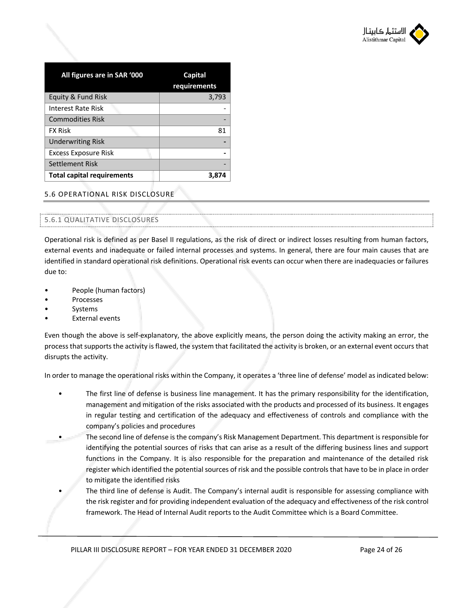

| All figures are in SAR '000       | Capital<br>requirements |
|-----------------------------------|-------------------------|
| Equity & Fund Risk                | 3,793                   |
| Interest Rate Risk                |                         |
| <b>Commodities Risk</b>           |                         |
| <b>FX Risk</b>                    | 81                      |
| <b>Underwriting Risk</b>          |                         |
| <b>Excess Exposure Risk</b>       |                         |
| Settlement Risk                   |                         |
| <b>Total capital requirements</b> | 3.87                    |

## 5.6 OPERATIONAL RISK DISCLOSURE

## 5.6.1 QUALITATIVE DISCLOSURES

Operational risk is defined as per Basel II regulations, as the risk of direct or indirect losses resulting from human factors, external events and inadequate or failed internal processes and systems. In general, there are four main causes that are identified in standard operational risk definitions. Operational risk events can occur when there are inadequacies or failures due to:

- People (human factors)
- **Processes**
- **Systems**
- External events

Even though the above is self-explanatory, the above explicitly means, the person doing the activity making an error, the process that supports the activity is flawed, the system that facilitated the activity is broken, or an external event occurs that disrupts the activity.

In order to manage the operational risks within the Company, it operates a 'three line of defense' model as indicated below:

- The first line of defense is business line management. It has the primary responsibility for the identification, management and mitigation of the risks associated with the products and processed of its business. It engages in regular testing and certification of the adequacy and effectiveness of controls and compliance with the company's policies and procedures
- The second line of defense is the company's Risk Management Department. This department is responsible for identifying the potential sources of risks that can arise as a result of the differing business lines and support functions in the Company. It is also responsible for the preparation and maintenance of the detailed risk register which identified the potential sources of risk and the possible controls that have to be in place in order to mitigate the identified risks
	- The third line of defense is Audit. The Company's internal audit is responsible for assessing compliance with the risk register and for providing independent evaluation of the adequacy and effectiveness of the risk control framework. The Head of Internal Audit reports to the Audit Committee which is a Board Committee.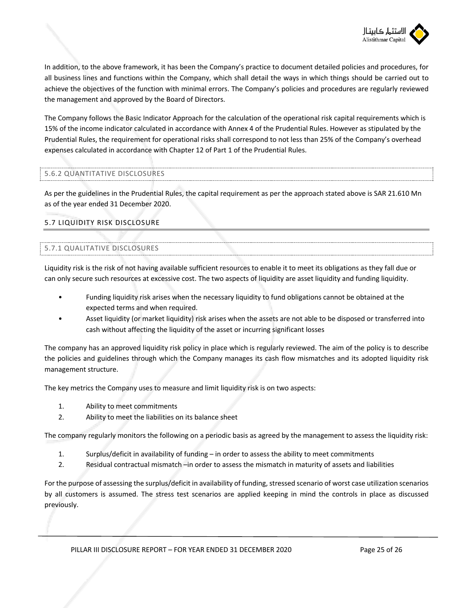

In addition, to the above framework, it has been the Company's practice to document detailed policies and procedures, for all business lines and functions within the Company, which shall detail the ways in which things should be carried out to achieve the objectives of the function with minimal errors. The Company's policies and procedures are regularly reviewed the management and approved by the Board of Directors.

The Company follows the Basic Indicator Approach for the calculation of the operational risk capital requirements which is 15% of the income indicator calculated in accordance with Annex 4 of the Prudential Rules. However as stipulated by the Prudential Rules, the requirement for operational risks shall correspond to not less than 25% of the Company's overhead expenses calculated in accordance with Chapter 12 of Part 1 of the Prudential Rules.

## 5.6.2 QUANTITATIVE DISCLOSURES

As per the guidelines in the Prudential Rules, the capital requirement as per the approach stated above is SAR 21.610 Mn as of the year ended 31 December 2020.

## 5.7 LIQUIDITY RISK DISCLOSURE

## 5.7.1 QUALITATIVE DISCLOSURES

Liquidity risk is the risk of not having available sufficient resources to enable it to meet its obligations as they fall due or can only secure such resources at excessive cost. The two aspects of liquidity are asset liquidity and funding liquidity.

- Funding liquidity risk arises when the necessary liquidity to fund obligations cannot be obtained at the expected terms and when required.
- Asset liquidity (or market liquidity) risk arises when the assets are not able to be disposed or transferred into cash without affecting the liquidity of the asset or incurring significant losses

The company has an approved liquidity risk policy in place which is regularly reviewed. The aim of the policy is to describe the policies and guidelines through which the Company manages its cash flow mismatches and its adopted liquidity risk management structure.

The key metrics the Company uses to measure and limit liquidity risk is on two aspects:

- 1. Ability to meet commitments
- 2. Ability to meet the liabilities on its balance sheet

The company regularly monitors the following on a periodic basis as agreed by the management to assess the liquidity risk:

- 1. Surplus/deficit in availability of funding in order to assess the ability to meet commitments
- 2. Residual contractual mismatch –in order to assess the mismatch in maturity of assets and liabilities

For the purpose of assessing the surplus/deficit in availability of funding, stressed scenario of worst case utilization scenarios by all customers is assumed. The stress test scenarios are applied keeping in mind the controls in place as discussed previously.